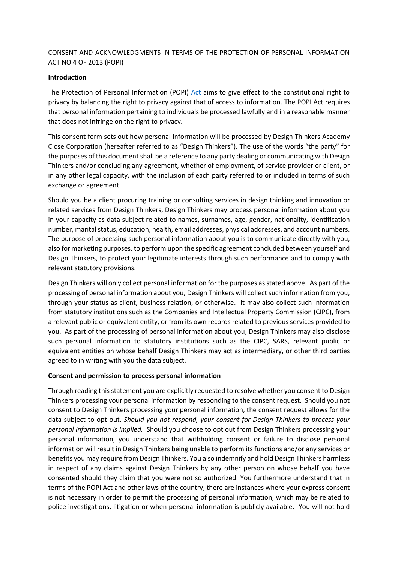# CONSENT AND ACKNOWLEDGMENTS IN TERMS OF THE PROTECTION OF PERSONAL INFORMATION ACT NO 4 OF 2013 (POPI)

#### **Introduction**

The Protection of Personal Information (POPI) [Act](https://www.gov.za/sites/default/files/gcis_document/201409/3706726-11act4of2013protectionofpersonalinforcorrect.pdf) aims to give effect to the constitutional right to privacy by balancing the right to privacy against that of access to information. The POPI Act requires that personal information pertaining to individuals be processed lawfully and in a reasonable manner that does not infringe on the right to privacy.

This consent form sets out how personal information will be processed by Design Thinkers Academy Close Corporation (hereafter referred to as "Design Thinkers"). The use of the words "the party" for the purposes of this document shall be a reference to any party dealing or communicating with Design Thinkers and/or concluding any agreement, whether of employment, of service provider or client, or in any other legal capacity, with the inclusion of each party referred to or included in terms of such exchange or agreement.

Should you be a client procuring training or consulting services in design thinking and innovation or related services from Design Thinkers, Design Thinkers may process personal information about you in your capacity as data subject related to names, surnames, age, gender, nationality, identification number, marital status, education, health, email addresses, physical addresses, and account numbers. The purpose of processing such personal information about you is to communicate directly with you, also for marketing purposes, to perform upon the specific agreement concluded between yourself and Design Thinkers, to protect your legitimate interests through such performance and to comply with relevant statutory provisions.

Design Thinkers will only collect personal information for the purposes as stated above. As part of the processing of personal information about you, Design Thinkers will collect such information from you, through your status as client, business relation, or otherwise. It may also collect such information from statutory institutions such as the Companies and Intellectual Property Commission (CIPC), from a relevant public or equivalent entity, or from its own records related to previous services provided to you. As part of the processing of personal information about you, Design Thinkers may also disclose such personal information to statutory institutions such as the CIPC, SARS, relevant public or equivalent entities on whose behalf Design Thinkers may act as intermediary, or other third parties agreed to in writing with you the data subject.

#### **Consent and permission to process personal information**

Through reading this statement you are explicitly requested to resolve whether you consent to Design Thinkers processing your personal information by responding to the consent request. Should you not consent to Design Thinkers processing your personal information, the consent request allows for the data subject to opt out. *Should you not respond, your consent for Design Thinkers to process your personal information is implied.* Should you choose to opt out from Design Thinkers processing your personal information, you understand that withholding consent or failure to disclose personal information will result in Design Thinkers being unable to perform its functions and/or any services or benefits you may require from Design Thinkers. You also indemnify and hold Design Thinkers harmless in respect of any claims against Design Thinkers by any other person on whose behalf you have consented should they claim that you were not so authorized. You furthermore understand that in terms of the POPI Act and other laws of the country, there are instances where your express consent is not necessary in order to permit the processing of personal information, which may be related to police investigations, litigation or when personal information is publicly available. You will not hold